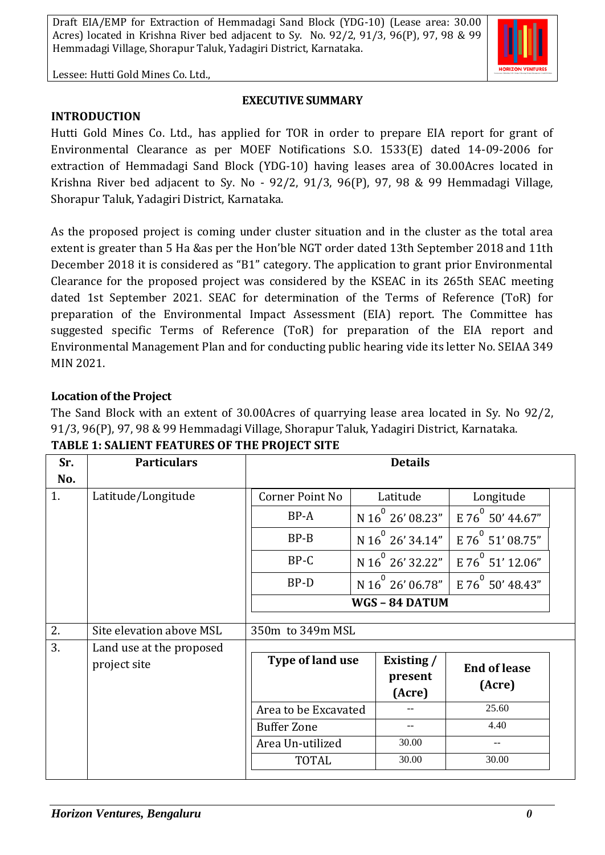

Lessee: Hutti Gold Mines Co. Ltd.,

#### **EXECUTIVE SUMMARY**

**INTRODUCTION** 

Hutti Gold Mines Co. Ltd., has applied for TOR in order to prepare EIA report for grant of Environmental Clearance as per MOEF Notifications S.O. 1533(E) dated 14-09-2006 for extraction of Hemmadagi Sand Block (YDG-10) having leases area of 30.00Acres located in Krishna River bed adjacent to Sy. No - 92/2, 91/3, 96(P), 97, 98 & 99 Hemmadagi Village, Shorapur Taluk, Yadagiri District, Karnataka.

As the proposed project is coming under cluster situation and in the cluster as the total area extent is greater than 5 Ha &as per the Hon'ble NGT order dated 13th September 2018 and 11th December 2018 it is considered as "B1" category. The application to grant prior Environmental Clearance for the proposed project was considered by the KSEAC in its 265th SEAC meeting dated 1st September 2021. SEAC for determination of the Terms of Reference (ToR) for preparation of the Environmental Impact Assessment (EIA) report. The Committee has suggested specific Terms of Reference (ToR) for preparation of the EIA report and Environmental Management Plan and for conducting public hearing vide its letter No. SEIAA 349 MIN 2021.

#### **Location of the Project**

The Sand Block with an extent of 30.00Acres of quarrying lease area located in Sy. No 92/2, 91/3, 96(P), 97, 98 & 99 Hemmadagi Village, Shorapur Taluk, Yadagiri District, Karnataka.

| Sr. | <b>Particulars</b>       |                      | <b>Details</b>               |                               |  |
|-----|--------------------------|----------------------|------------------------------|-------------------------------|--|
| No. |                          |                      |                              |                               |  |
| 1.  | Latitude/Longitude       | Corner Point No      | Latitude                     | Longitude                     |  |
|     |                          | BP-A                 | N 16 <sup>°</sup> 26' 08.23" | E 76 50' 44.67"               |  |
|     |                          | $BP-B$               | N 16 $^{\circ}$ 26' 34.14"   | E 76 51' 08.75"               |  |
|     |                          | BP-C                 | N $16^{^0}$ 26' 32.22"       | E 76 51' 12.06"               |  |
|     |                          | BP-D                 | N 16 $^{\circ}$ 26' 06.78"   | E 76 50' 48.43"               |  |
|     |                          |                      | WGS-84 DATUM                 |                               |  |
|     |                          |                      |                              |                               |  |
| 2.  | Site elevation above MSL | 350m to 349m MSL     |                              |                               |  |
| 3.  | Land use at the proposed |                      |                              |                               |  |
|     | project site             | Type of land use     | Existing /                   | <b>End of lease</b><br>(Acre) |  |
|     |                          |                      | present                      |                               |  |
|     |                          | (Acre)               |                              |                               |  |
|     |                          | Area to be Excavated |                              | 25.60                         |  |
|     |                          | <b>Buffer Zone</b>   |                              | 4.40                          |  |
|     |                          |                      |                              |                               |  |
|     |                          | Area Un-utilized     | 30.00                        |                               |  |
|     |                          | <b>TOTAL</b>         | 30.00                        | 30.00                         |  |

**TABLE 1: SALIENT FEATURES OF THE PROJECT SITE**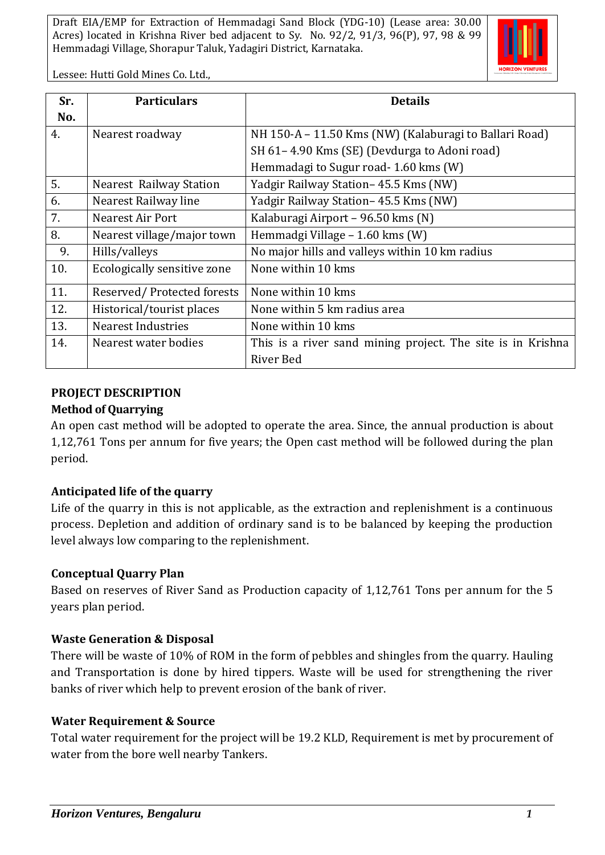

Lessee: Hutti Gold Mines Co. Ltd.,

| Sr. | <b>Particulars</b>             | <b>Details</b>                                              |  |
|-----|--------------------------------|-------------------------------------------------------------|--|
| No. |                                |                                                             |  |
| 4.  | Nearest roadway                | NH 150-A - 11.50 Kms (NW) (Kalaburagi to Ballari Road)      |  |
|     |                                | SH 61-4.90 Kms (SE) (Devdurga to Adoni road)                |  |
|     |                                | Hemmadagi to Sugur road-1.60 kms (W)                        |  |
| 5.  | <b>Nearest Railway Station</b> | Yadgir Railway Station – 45.5 Kms (NW)                      |  |
| 6.  | Nearest Railway line           | Yadgir Railway Station-45.5 Kms (NW)                        |  |
| 7.  | <b>Nearest Air Port</b>        | Kalaburagi Airport - 96.50 kms (N)                          |  |
| 8.  | Nearest village/major town     | Hemmadgi Village - 1.60 kms (W)                             |  |
| 9.  | Hills/valleys                  | No major hills and valleys within 10 km radius              |  |
| 10. | Ecologically sensitive zone    | None within 10 kms                                          |  |
| 11. | Reserved/Protected forests     | None within 10 kms                                          |  |
| 12. | Historical/tourist places      | None within 5 km radius area                                |  |
| 13. | <b>Nearest Industries</b>      | None within 10 kms                                          |  |
| 14. | Nearest water bodies           | This is a river sand mining project. The site is in Krishna |  |
|     |                                | River Bed                                                   |  |

## **PROJECT DESCRIPTION**

#### **Method of Quarrying**

An open cast method will be adopted to operate the area. Since, the annual production is about 1,12,761 Tons per annum for five years; the Open cast method will be followed during the plan period.

## **Anticipated life of the quarry**

Life of the quarry in this is not applicable, as the extraction and replenishment is a continuous process. Depletion and addition of ordinary sand is to be balanced by keeping the production level always low comparing to the replenishment.

## **Conceptual Quarry Plan**

Based on reserves of River Sand as Production capacity of 1,12,761 Tons per annum for the 5 years plan period.

## **Waste Generation & Disposal**

There will be waste of 10% of ROM in the form of pebbles and shingles from the quarry. Hauling and Transportation is done by hired tippers. Waste will be used for strengthening the river banks of river which help to prevent erosion of the bank of river.

## **Water Requirement & Source**

Total water requirement for the project will be 19.2 KLD, Requirement is met by procurement of water from the bore well nearby Tankers.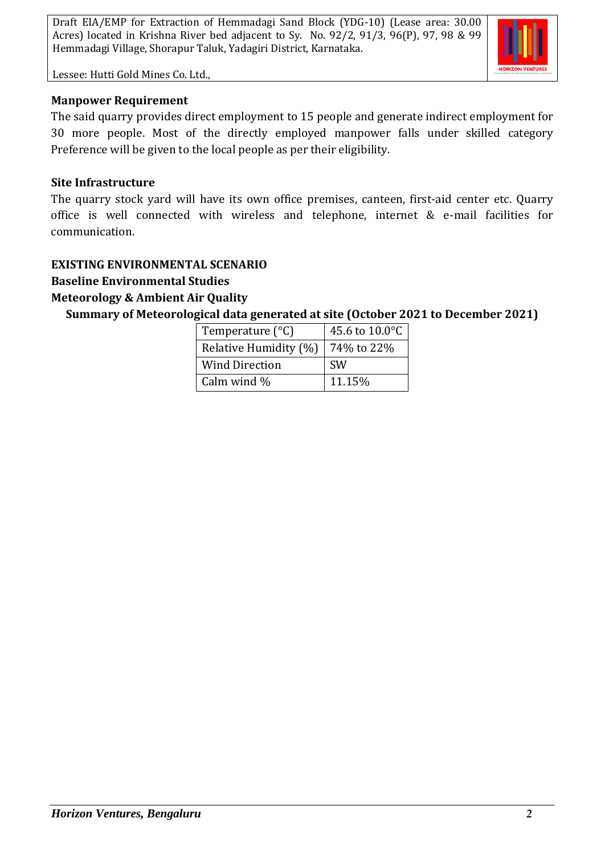

Lessee: Hutti Gold Mines Co. Ltd.,

#### **Manpower Requirement**

The said quarry provides direct employment to 15 people and generate indirect employment for 30 more people. Most of the directly employed manpower falls under skilled category Preference will be given to the local people as per their eligibility.

#### **Site Infrastructure**

The quarry stock yard will have its own office premises, canteen, first-aid center etc. Quarry office is well connected with wireless and telephone, internet & e-mail facilities for communication.

## **EXISTING ENVIRONMENTAL SCENARIO**

# **Baseline Environmental Studies**

## **Meteorology & Ambient Air Quality**

**Summary of Meteorological data generated at site (October 2021 to December 2021)**

| Temperature $(^{\circ}C)$ | 45.6 to 10.0°C |
|---------------------------|----------------|
| Relative Humidity (%)     | 74% to 22%     |
| <b>Wind Direction</b>     | <b>SW</b>      |
| Calm wind %               | 11.15%         |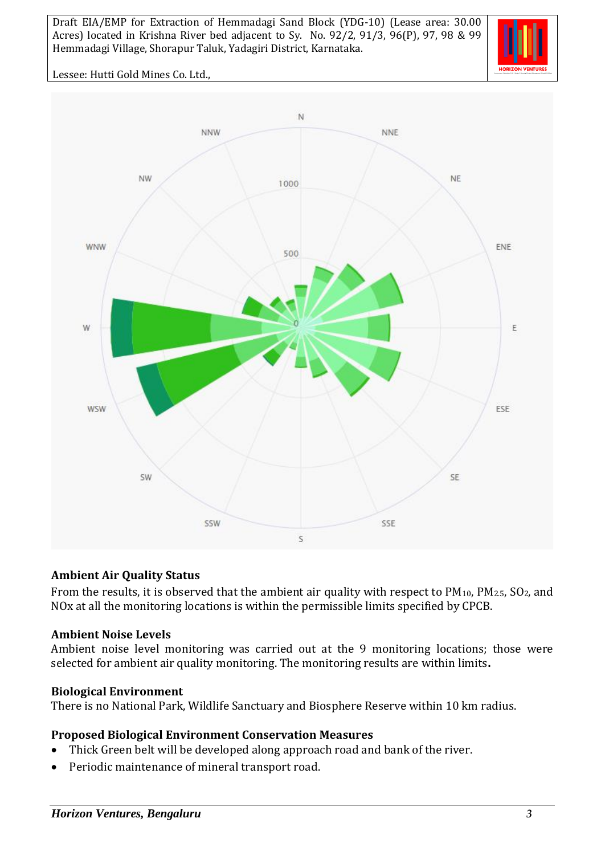

Lessee: Hutti Gold Mines Co. Ltd.,



## **Ambient Air Quality Status**

From the results, it is observed that the ambient air quality with respect to  $PM_{10}$ ,  $PM_{2.5}$ ,  $SO_2$ , and NOx at all the monitoring locations is within the permissible limits specified by CPCB.

#### **Ambient Noise Levels**

Ambient noise level monitoring was carried out at the 9 monitoring locations; those were selected for ambient air quality monitoring. The monitoring results are within limits**.**

#### **Biological Environment**

There is no National Park, Wildlife Sanctuary and Biosphere Reserve within 10 km radius.

#### **Proposed Biological Environment Conservation Measures**

- Thick Green belt will be developed along approach road and bank of the river.
- Periodic maintenance of mineral transport road.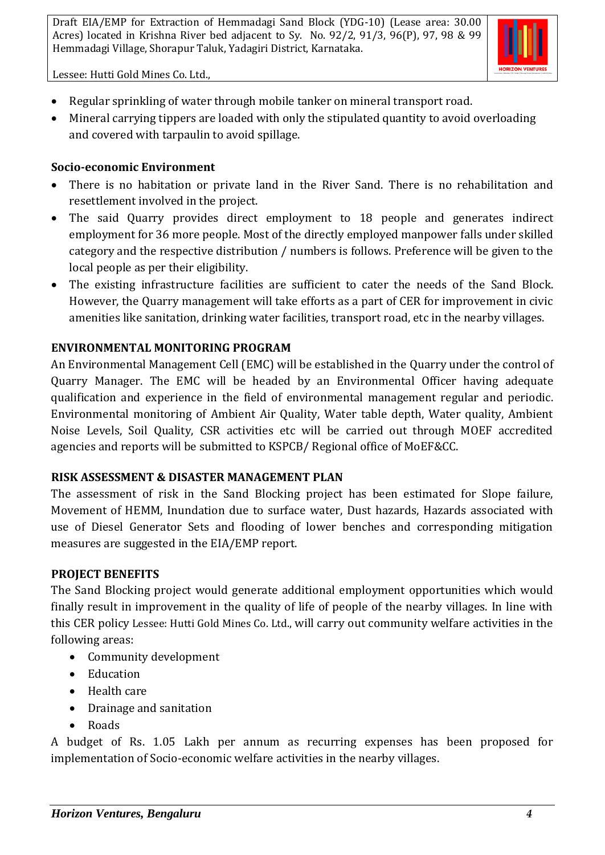

Lessee: Hutti Gold Mines Co. Ltd.,

- Regular sprinkling of water through mobile tanker on mineral transport road.
- Mineral carrying tippers are loaded with only the stipulated quantity to avoid overloading and covered with tarpaulin to avoid spillage.

# **Socio-economic Environment**

- There is no habitation or private land in the River Sand. There is no rehabilitation and resettlement involved in the project.
- The said Quarry provides direct employment to 18 people and generates indirect employment for 36 more people. Most of the directly employed manpower falls under skilled category and the respective distribution / numbers is follows. Preference will be given to the local people as per their eligibility.
- The existing infrastructure facilities are sufficient to cater the needs of the Sand Block. However, the Quarry management will take efforts as a part of CER for improvement in civic amenities like sanitation, drinking water facilities, transport road, etc in the nearby villages.

# **ENVIRONMENTAL MONITORING PROGRAM**

An Environmental Management Cell (EMC) will be established in the Quarry under the control of Quarry Manager. The EMC will be headed by an Environmental Officer having adequate qualification and experience in the field of environmental management regular and periodic. Environmental monitoring of Ambient Air Quality, Water table depth, Water quality, Ambient Noise Levels, Soil Quality, CSR activities etc will be carried out through MOEF accredited agencies and reports will be submitted to KSPCB/ Regional office of MoEF&CC.

## **RISK ASSESSMENT & DISASTER MANAGEMENT PLAN**

The assessment of risk in the Sand Blocking project has been estimated for Slope failure, Movement of HEMM, Inundation due to surface water, Dust hazards, Hazards associated with use of Diesel Generator Sets and flooding of lower benches and corresponding mitigation measures are suggested in the EIA/EMP report.

## **PROJECT BENEFITS**

The Sand Blocking project would generate additional employment opportunities which would finally result in improvement in the quality of life of people of the nearby villages. In line with this CER policy Lessee: Hutti Gold Mines Co. Ltd., will carry out community welfare activities in the following areas:

- Community development
- Education
- Health care
- Drainage and sanitation
- Roads

A budget of Rs. 1.05 Lakh per annum as recurring expenses has been proposed for implementation of Socio-economic welfare activities in the nearby villages.